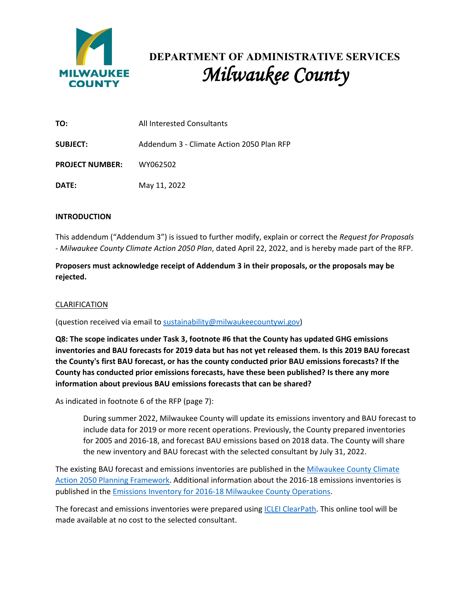

# **DEPARTMENT OF ADMINISTRATIVE SERVICES** *Milwaukee County*

| TO:                    | All Interested Consultants                |
|------------------------|-------------------------------------------|
| <b>SUBJECT:</b>        | Addendum 3 - Climate Action 2050 Plan RFP |
| <b>PROJECT NUMBER:</b> | WY062502                                  |
| DATE:                  | May 11, 2022                              |

## **INTRODUCTION**

This addendum ("Addendum 3") is issued to further modify, explain or correct the *Request for Proposals - Milwaukee County Climate Action 2050 Plan*, dated April 22, 2022, and is hereby made part of the RFP.

**Proposers must acknowledge receipt of Addendum 3 in their proposals, or the proposals may be rejected.**

## CLARIFICATION

(question received via email to [sustainability@milwaukeecountywi.gov\)](mailto:sustainability@milwaukeecountywi.gov)

**Q8: The scope indicates under Task 3, footnote #6 that the County has updated GHG emissions inventories and BAU forecasts for 2019 data but has not yet released them. Is this 2019 BAU forecast the County's first BAU forecast, or has the county conducted prior BAU emissions forecasts? If the County has conducted prior emissions forecasts, have these been published? Is there any more information about previous BAU emissions forecasts that can be shared?** 

As indicated in footnote 6 of the RFP (page 7):

During summer 2022, Milwaukee County will update its emissions inventory and BAU forecast to include data for 2019 or more recent operations. Previously, the County prepared inventories for 2005 and 2016-18, and forecast BAU emissions based on 2018 data. The County will share the new inventory and BAU forecast with the selected consultant by July 31, 2022.

The existing BAU forecast and emissions inventories are published in the Milwaukee County Climate [Action 2050 Planning Framework.](https://milwaukeecounty.legistar.com/View.ashx?M=F&ID=9793668&GUID=54DD8B55-AA78-4B74-BD05-C42461761F10) Additional information about the 2016-18 emissions inventories is published in the [Emissions Inventory for 2016-18 Milwaukee County Operations.](https://milwaukeecounty.legistar.com/View.ashx?M=F&ID=8433812&GUID=4074EE61-1E2D-48CB-8D79-98474824E4CC)

The forecast and emissions inventories were prepared using [ICLEI ClearPath.](http://icleiusa.org/clearpath/) This online tool will be made available at no cost to the selected consultant.